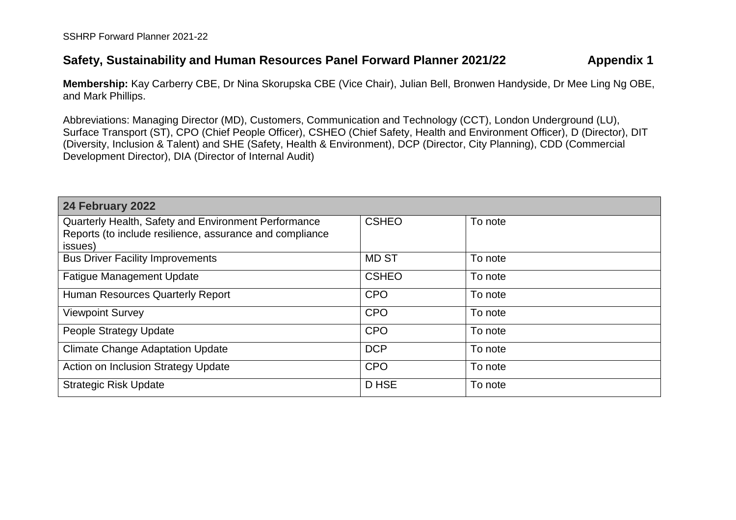## **Safety, Sustainability and Human Resources Panel Forward Planner 2021/22 Appendix 1**

**Membership:** Kay Carberry CBE, Dr Nina Skorupska CBE (Vice Chair), Julian Bell, Bronwen Handyside, Dr Mee Ling Ng OBE, and Mark Phillips.

Abbreviations: Managing Director (MD), Customers, Communication and Technology (CCT), London Underground (LU), Surface Transport (ST), CPO (Chief People Officer), CSHEO (Chief Safety, Health and Environment Officer), D (Director), DIT (Diversity, Inclusion & Talent) and SHE (Safety, Health & Environment), DCP (Director, City Planning), CDD (Commercial Development Director), DIA (Director of Internal Audit)

| 24 February 2022                                                                                                            |              |         |
|-----------------------------------------------------------------------------------------------------------------------------|--------------|---------|
| Quarterly Health, Safety and Environment Performance<br>Reports (to include resilience, assurance and compliance<br>issues) | <b>CSHEO</b> | To note |
| <b>Bus Driver Facility Improvements</b>                                                                                     | <b>MD ST</b> | To note |
| <b>Fatigue Management Update</b>                                                                                            | <b>CSHEO</b> | To note |
| Human Resources Quarterly Report                                                                                            | <b>CPO</b>   | To note |
| <b>Viewpoint Survey</b>                                                                                                     | <b>CPO</b>   | To note |
| People Strategy Update                                                                                                      | <b>CPO</b>   | To note |
| <b>Climate Change Adaptation Update</b>                                                                                     | <b>DCP</b>   | To note |
| <b>Action on Inclusion Strategy Update</b>                                                                                  | <b>CPO</b>   | To note |
| <b>Strategic Risk Update</b>                                                                                                | D HSE        | To note |